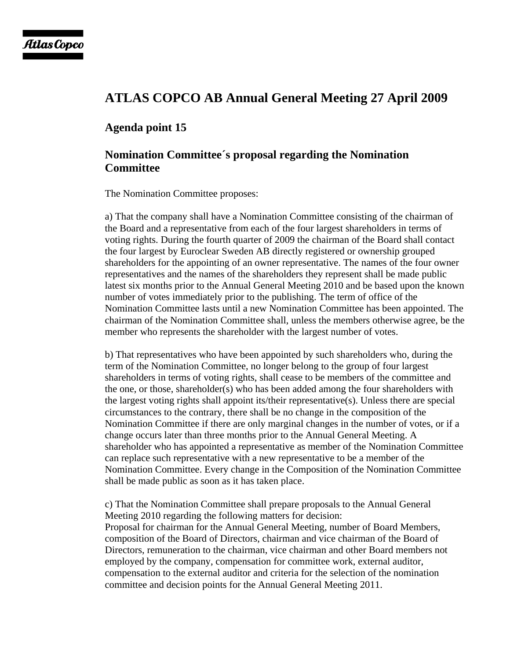## **ATLAS COPCO AB Annual General Meeting 27 April 2009**

## **Agenda point 15**

## **Nomination Committee´s proposal regarding the Nomination Committee**

The Nomination Committee proposes:

a) That the company shall have a Nomination Committee consisting of the chairman of the Board and a representative from each of the four largest shareholders in terms of voting rights. During the fourth quarter of 2009 the chairman of the Board shall contact the four largest by Euroclear Sweden AB directly registered or ownership grouped shareholders for the appointing of an owner representative. The names of the four owner representatives and the names of the shareholders they represent shall be made public latest six months prior to the Annual General Meeting 2010 and be based upon the known number of votes immediately prior to the publishing. The term of office of the Nomination Committee lasts until a new Nomination Committee has been appointed. The chairman of the Nomination Committee shall, unless the members otherwise agree, be the member who represents the shareholder with the largest number of votes.

b) That representatives who have been appointed by such shareholders who, during the term of the Nomination Committee, no longer belong to the group of four largest shareholders in terms of voting rights, shall cease to be members of the committee and the one, or those, shareholder(s) who has been added among the four shareholders with the largest voting rights shall appoint its/their representative(s). Unless there are special circumstances to the contrary, there shall be no change in the composition of the Nomination Committee if there are only marginal changes in the number of votes, or if a change occurs later than three months prior to the Annual General Meeting. A shareholder who has appointed a representative as member of the Nomination Committee can replace such representative with a new representative to be a member of the Nomination Committee. Every change in the Composition of the Nomination Committee shall be made public as soon as it has taken place.

c) That the Nomination Committee shall prepare proposals to the Annual General Meeting 2010 regarding the following matters for decision: Proposal for chairman for the Annual General Meeting, number of Board Members, composition of the Board of Directors, chairman and vice chairman of the Board of Directors, remuneration to the chairman, vice chairman and other Board members not employed by the company, compensation for committee work, external auditor, compensation to the external auditor and criteria for the selection of the nomination committee and decision points for the Annual General Meeting 2011.